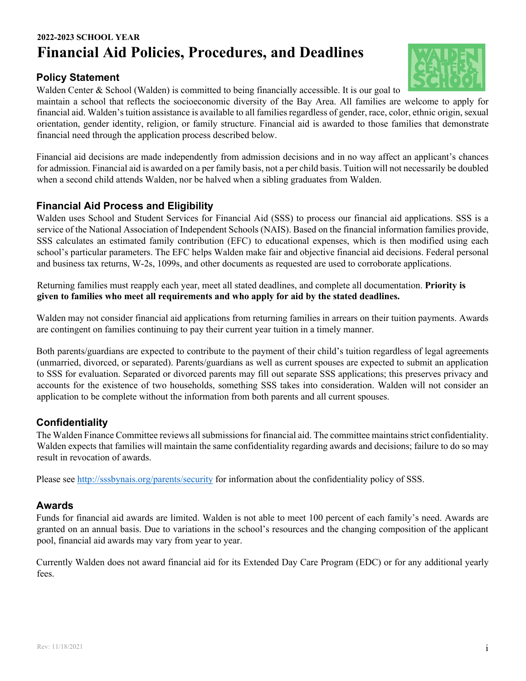# **2022-2023 SCHOOL YEAR Financial Aid Policies, Procedures, and Deadlines**

## **Policy Statement**

Walden Center & School (Walden) is committed to being financially accessible. It is our goal to

maintain a school that reflects the socioeconomic diversity of the Bay Area. All families are welcome to apply for financial aid. Walden's tuition assistance is available to all families regardless of gender, race, color, ethnic origin, sexual orientation, gender identity, religion, or family structure. Financial aid is awarded to those families that demonstrate financial need through the application process described below.

Financial aid decisions are made independently from admission decisions and in no way affect an applicant's chances for admission. Financial aid is awarded on a per family basis, not a per child basis. Tuition will not necessarily be doubled when a second child attends Walden, nor be halved when a sibling graduates from Walden.

## **Financial Aid Process and Eligibility**

Walden uses School and Student Services for Financial Aid (SSS) to process our financial aid applications. SSS is a service of the National Association of Independent Schools (NAIS). Based on the financial information families provide, SSS calculates an estimated family contribution (EFC) to educational expenses, which is then modified using each school's particular parameters. The EFC helps Walden make fair and objective financial aid decisions. Federal personal and business tax returns, W-2s, 1099s, and other documents as requested are used to corroborate applications.

Returning families must reapply each year, meet all stated deadlines, and complete all documentation. **Priority is given to families who meet all requirements and who apply for aid by the stated deadlines.** 

Walden may not consider financial aid applications from returning families in arrears on their tuition payments. Awards are contingent on families continuing to pay their current year tuition in a timely manner.

Both parents/guardians are expected to contribute to the payment of their child's tuition regardless of legal agreements (unmarried, divorced, or separated). Parents/guardians as well as current spouses are expected to submit an application to SSS for evaluation. Separated or divorced parents may fill out separate SSS applications; this preserves privacy and accounts for the existence of two households, something SSS takes into consideration. Walden will not consider an application to be complete without the information from both parents and all current spouses.

## **Confidentiality**

The Walden Finance Committee reviews all submissions for financial aid. The committee maintains strict confidentiality. Walden expects that families will maintain the same confidentiality regarding awards and decisions; failure to do so may result in revocation of awards.

Please see http://sssbynais.org/parents/security for information about the confidentiality policy of SSS.

## **Awards**

Funds for financial aid awards are limited. Walden is not able to meet 100 percent of each family's need. Awards are granted on an annual basis. Due to variations in the school's resources and the changing composition of the applicant pool, financial aid awards may vary from year to year.

Currently Walden does not award financial aid for its Extended Day Care Program (EDC) or for any additional yearly fees.

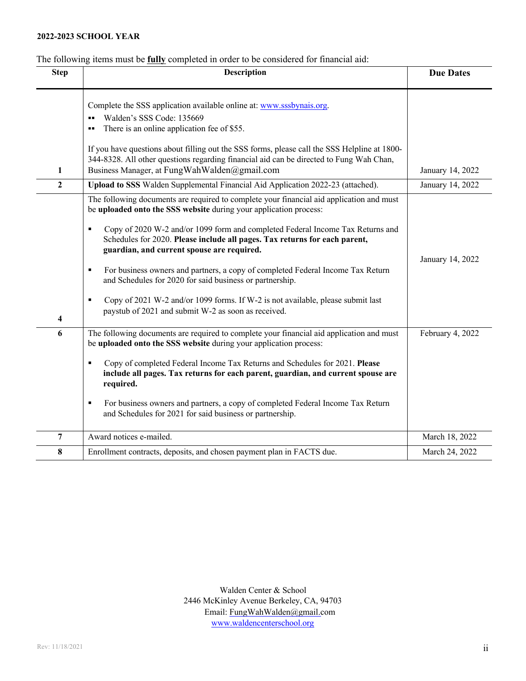#### **2022-2023 SCHOOL YEAR**

## The following items must be **fully** completed in order to be considered for financial aid:

|                  |                                                                                                                                                                                                                                                                                                                                                                                                                                                                                                                                                                                                                                                                      | <b>Due Dates</b> |
|------------------|----------------------------------------------------------------------------------------------------------------------------------------------------------------------------------------------------------------------------------------------------------------------------------------------------------------------------------------------------------------------------------------------------------------------------------------------------------------------------------------------------------------------------------------------------------------------------------------------------------------------------------------------------------------------|------------------|
| ш.               | Complete the SSS application available online at: www.sssbynais.org.<br>Walden's SSS Code: 135669<br>There is an online application fee of \$55.                                                                                                                                                                                                                                                                                                                                                                                                                                                                                                                     |                  |
| 1                | If you have questions about filling out the SSS forms, please call the SSS Helpline at 1800-<br>344-8328. All other questions regarding financial aid can be directed to Fung Wah Chan,<br>Business Manager, at FungWahWalden@gmail.com                                                                                                                                                                                                                                                                                                                                                                                                                              | January 14, 2022 |
| $\overline{2}$   | Upload to SSS Walden Supplemental Financial Aid Application 2022-23 (attached).                                                                                                                                                                                                                                                                                                                                                                                                                                                                                                                                                                                      | January 14, 2022 |
| ٠<br>٠<br>٠<br>4 | The following documents are required to complete your financial aid application and must<br>be uploaded onto the SSS website during your application process:<br>Copy of 2020 W-2 and/or 1099 form and completed Federal Income Tax Returns and<br>Schedules for 2020. Please include all pages. Tax returns for each parent,<br>guardian, and current spouse are required.<br>For business owners and partners, a copy of completed Federal Income Tax Return<br>and Schedules for 2020 for said business or partnership.<br>Copy of 2021 W-2 and/or 1099 forms. If W-2 is not available, please submit last<br>paystub of 2021 and submit W-2 as soon as received. | January 14, 2022 |
| 6<br>٠<br>٠      | The following documents are required to complete your financial aid application and must<br>be uploaded onto the SSS website during your application process:<br>Copy of completed Federal Income Tax Returns and Schedules for 2021. Please<br>include all pages. Tax returns for each parent, guardian, and current spouse are<br>required.<br>For business owners and partners, a copy of completed Federal Income Tax Return<br>and Schedules for 2021 for said business or partnership.                                                                                                                                                                         | February 4, 2022 |
| 7                | Award notices e-mailed.                                                                                                                                                                                                                                                                                                                                                                                                                                                                                                                                                                                                                                              | March 18, 2022   |
| 8                | Enrollment contracts, deposits, and chosen payment plan in FACTS due.                                                                                                                                                                                                                                                                                                                                                                                                                                                                                                                                                                                                | March 24, 2022   |
|                  |                                                                                                                                                                                                                                                                                                                                                                                                                                                                                                                                                                                                                                                                      |                  |